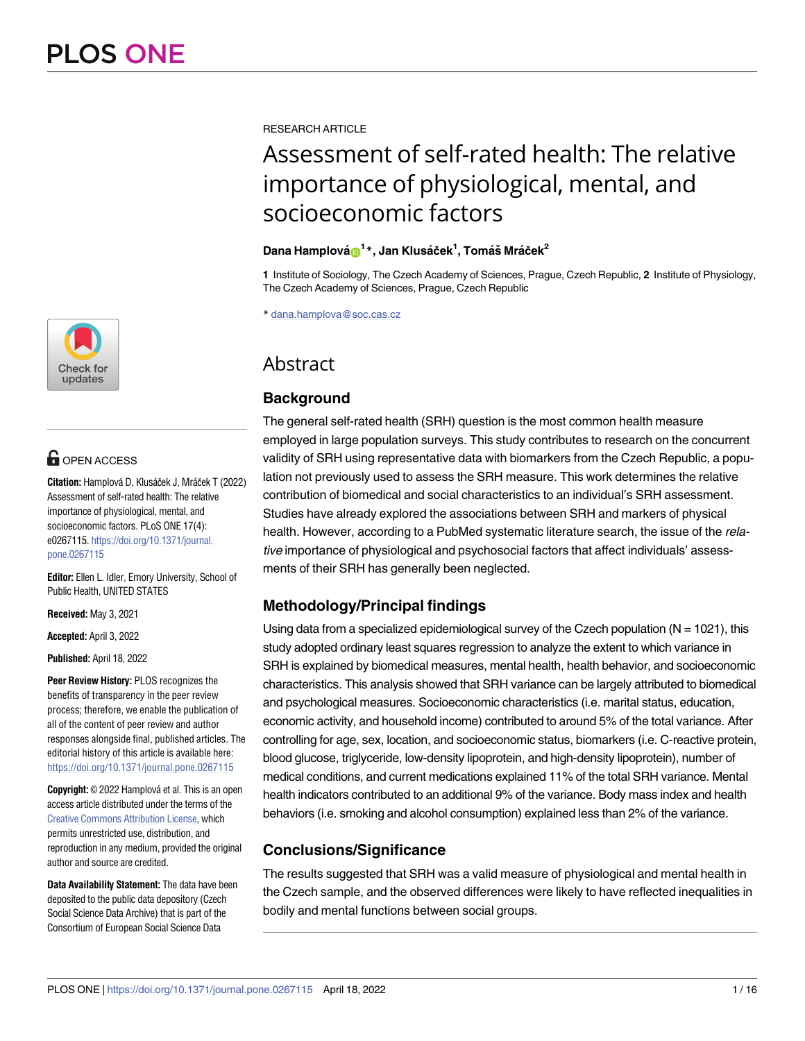

# **OPEN ACCESS**

**Citation:** Hamplová D, Klusáček J, Mráček T (2022) Assessment of self-rated health: The relative importance of physiological, mental, and socioeconomic factors. PLoS ONE 17(4): e0267115. [https://doi.org/10.1371/journal.](https://doi.org/10.1371/journal.pone.0267115) [pone.0267115](https://doi.org/10.1371/journal.pone.0267115)

**Editor:** Ellen L. Idler, Emory University, School of Public Health, UNITED STATES

**Received:** May 3, 2021

**Accepted:** April 3, 2022

**Published:** April 18, 2022

**Peer Review History:** PLOS recognizes the benefits of transparency in the peer review process; therefore, we enable the publication of all of the content of peer review and author responses alongside final, published articles. The editorial history of this article is available here: <https://doi.org/10.1371/journal.pone.0267115>

**Copyright:** © 2022 Hamplová et al. This is an open access article distributed under the terms of the Creative Commons [Attribution](http://creativecommons.org/licenses/by/4.0/) License, which permits unrestricted use, distribution, and reproduction in any medium, provided the original author and source are credited.

**Data Availability Statement:** The data have been deposited to the public data depository (Czech Social Science Data Archive) that is part of the Consortium of European Social Science Data

RESEARCH ARTICLE

# Assessment of self-rated health: The relative importance of physiological, mental, and socioeconomic factors

# $D$ ana Hamplová $\mathbf{\Theta}^{1\,*}$ , Jan Klusáček $^{1}$ , Tomáš Mráček $^{2}$

**1** Institute of Sociology, The Czech Academy of Sciences, Prague, Czech Republic, **2** Institute of Physiology, The Czech Academy of Sciences, Prague, Czech Republic

\* dana.hamplova@soc.cas.cz

# **Abstract**

# **Background**

The general self-rated health (SRH) question is the most common health measure employed in large population surveys. This study contributes to research on the concurrent validity of SRH using representative data with biomarkers from the Czech Republic, a population not previously used to assess the SRH measure. This work determines the relative contribution of biomedical and social characteristics to an individual's SRH assessment. Studies have already explored the associations between SRH and markers of physical health. However, according to a PubMed systematic literature search, the issue of the relative importance of physiological and psychosocial factors that affect individuals' assessments of their SRH has generally been neglected.

# **Methodology/Principal findings**

Using data from a specialized epidemiological survey of the Czech population ( $N = 1021$ ), this study adopted ordinary least squares regression to analyze the extent to which variance in SRH is explained by biomedical measures, mental health, health behavior, and socioeconomic characteristics. This analysis showed that SRH variance can be largely attributed to biomedical and psychological measures. Socioeconomic characteristics (i.e. marital status, education, economic activity, and household income) contributed to around 5% of the total variance. After controlling for age, sex, location, and socioeconomic status, biomarkers (i.e. C-reactive protein, blood glucose, triglyceride, low-density lipoprotein, and high-density lipoprotein), number of medical conditions, and current medications explained 11% of the total SRH variance. Mental health indicators contributed to an additional 9% of the variance. Body mass index and health behaviors (i.e. smoking and alcohol consumption) explained less than 2% of the variance.

# **Conclusions/Significance**

The results suggested that SRH was a valid measure of physiological and mental health in the Czech sample, and the observed differences were likely to have reflected inequalities in bodily and mental functions between social groups.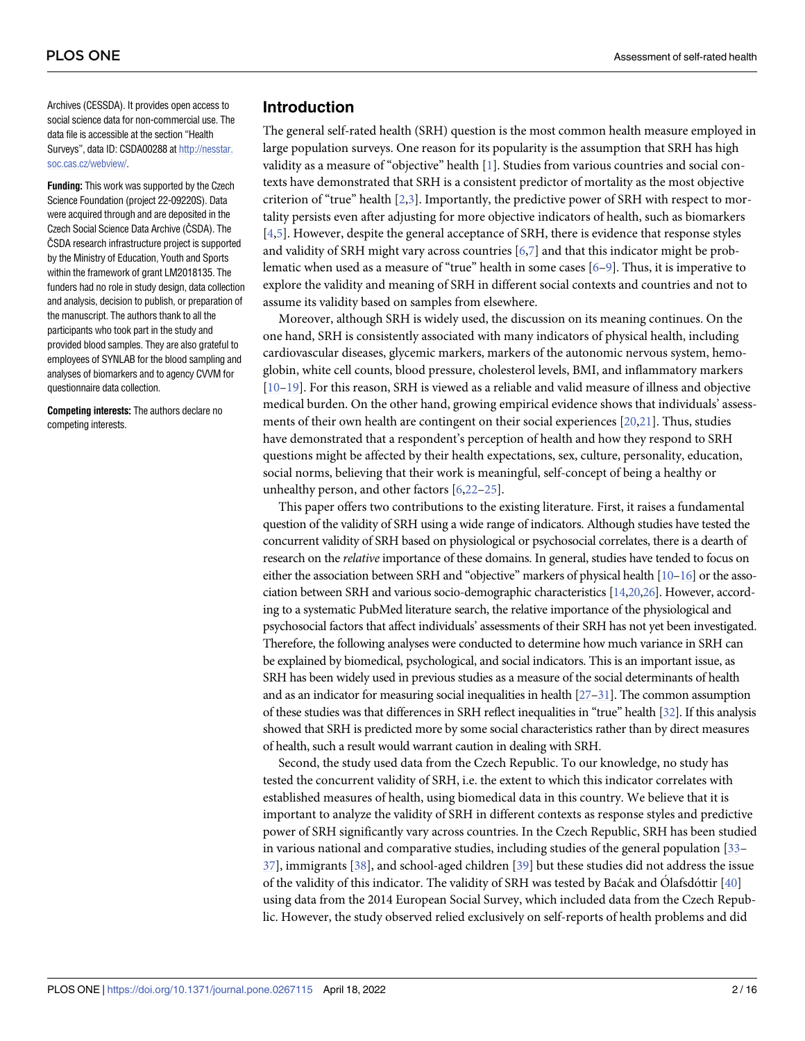<span id="page-1-0"></span>Archives (CESSDA). It provides open access to social science data for non-commercial use. The data file is accessible at the section "Health Surveys", data ID: CSDA00288 at [http://nesstar.](http://nesstar.soc.cas.cz/webview/) [soc.cas.cz/webview/](http://nesstar.soc.cas.cz/webview/).

**Funding:** This work was supported by the Czech Science Foundation (project 22-09220S). Data were acquired through and are deposited in the Czech Social Science Data Archive (ČSDA). The ČSDA research infrastructure project is supported by the Ministry of Education, Youth and Sports within the framework of grant LM2018135. The funders had no role in study design, data collection and analysis, decision to publish, or preparation of the manuscript. The authors thank to all the participants who took part in the study and provided blood samples. They are also grateful to employees of SYNLAB for the blood sampling and analyses of biomarkers and to agency CVVM for questionnaire data collection.

**Competing interests:** The authors declare no competing interests.

## **Introduction**

The general self-rated health (SRH) question is the most common health measure employed in large population surveys. One reason for its popularity is the assumption that SRH has high validity as a measure of "objective" health [\[1\]](#page-12-0). Studies from various countries and social contexts have demonstrated that SRH is a consistent predictor of mortality as the most objective criterion of "true" health [[2](#page-12-0),[3](#page-12-0)]. Importantly, the predictive power of SRH with respect to mortality persists even after adjusting for more objective indicators of health, such as biomarkers [\[4,5](#page-12-0)]. However, despite the general acceptance of SRH, there is evidence that response styles and validity of SRH might vary across countries [\[6,](#page-12-0)[7\]](#page-13-0) and that this indicator might be problematic when used as a measure of "true" health in some cases [[6–](#page-12-0)[9\]](#page-13-0). Thus, it is imperative to explore the validity and meaning of SRH in different social contexts and countries and not to assume its validity based on samples from elsewhere.

Moreover, although SRH is widely used, the discussion on its meaning continues. On the one hand, SRH is consistently associated with many indicators of physical health, including cardiovascular diseases, glycemic markers, markers of the autonomic nervous system, hemoglobin, white cell counts, blood pressure, cholesterol levels, BMI, and inflammatory markers [\[10–19\]](#page-13-0). For this reason, SRH is viewed as a reliable and valid measure of illness and objective medical burden. On the other hand, growing empirical evidence shows that individuals' assessments of their own health are contingent on their social experiences [[20](#page-13-0),[21](#page-13-0)]. Thus, studies have demonstrated that a respondent's perception of health and how they respond to SRH questions might be affected by their health expectations, sex, culture, personality, education, social norms, believing that their work is meaningful, self-concept of being a healthy or unhealthy person, and other factors [\[6,](#page-12-0)[22–25](#page-13-0)].

This paper offers two contributions to the existing literature. First, it raises a fundamental question of the validity of SRH using a wide range of indicators. Although studies have tested the concurrent validity of SRH based on physiological or psychosocial correlates, there is a dearth of research on the *relative* importance of these domains. In general, studies have tended to focus on either the association between SRH and "objective" markers of physical health [\[10–16\]](#page-13-0) or the association between SRH and various socio-demographic characteristics [[14,20,26](#page-13-0)]. However, according to a systematic PubMed literature search, the relative importance of the physiological and psychosocial factors that affect individuals' assessments of their SRH has not yet been investigated. Therefore, the following analyses were conducted to determine how much variance in SRH can be explained by biomedical, psychological, and social indicators. This is an important issue, as SRH has been widely used in previous studies as a measure of the social determinants of health and as an indicator for measuring social inequalities in health [[27–](#page-13-0)[31\]](#page-14-0). The common assumption of these studies was that differences in SRH reflect inequalities in "true" health [\[32\]](#page-14-0). If this analysis showed that SRH is predicted more by some social characteristics rather than by direct measures of health, such a result would warrant caution in dealing with SRH.

Second, the study used data from the Czech Republic. To our knowledge, no study has tested the concurrent validity of SRH, i.e. the extent to which this indicator correlates with established measures of health, using biomedical data in this country. We believe that it is important to analyze the validity of SRH in different contexts as response styles and predictive power of SRH significantly vary across countries. In the Czech Republic, SRH has been studied in various national and comparative studies, including studies of the general population [[33](#page-14-0)– [37\]](#page-14-0), immigrants [\[38\]](#page-14-0), and school-aged children [\[39\]](#page-14-0) but these studies did not address the issue of the validity of this indicator. The validity of SRH was tested by Baćak and Olafsdóttir  $[40]$ using data from the 2014 European Social Survey, which included data from the Czech Republic. However, the study observed relied exclusively on self-reports of health problems and did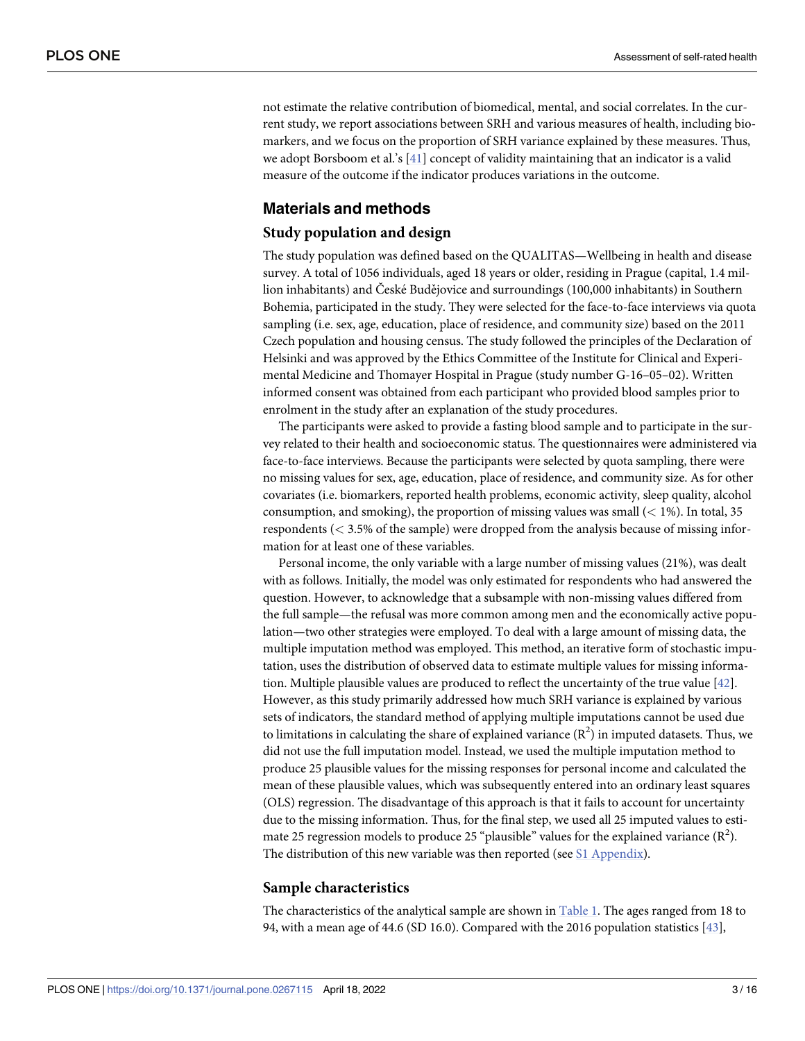<span id="page-2-0"></span>not estimate the relative contribution of biomedical, mental, and social correlates. In the current study, we report associations between SRH and various measures of health, including biomarkers, and we focus on the proportion of SRH variance explained by these measures. Thus, we adopt Borsboom et al.'s [[41](#page-14-0)] concept of validity maintaining that an indicator is a valid measure of the outcome if the indicator produces variations in the outcome.

# **Materials and methods**

#### **Study population and design**

The study population was defined based on the QUALITAS—Wellbeing in health and disease survey. A total of 1056 individuals, aged 18 years or older, residing in Prague (capital, 1.4 million inhabitants) and České Budějovice and surroundings (100,000 inhabitants) in Southern Bohemia, participated in the study. They were selected for the face-to-face interviews via quota sampling (i.e. sex, age, education, place of residence, and community size) based on the 2011 Czech population and housing census. The study followed the principles of the Declaration of Helsinki and was approved by the Ethics Committee of the Institute for Clinical and Experimental Medicine and Thomayer Hospital in Prague (study number G-16–05–02). Written informed consent was obtained from each participant who provided blood samples prior to enrolment in the study after an explanation of the study procedures.

The participants were asked to provide a fasting blood sample and to participate in the survey related to their health and socioeconomic status. The questionnaires were administered via face-to-face interviews. Because the participants were selected by quota sampling, there were no missing values for sex, age, education, place of residence, and community size. As for other covariates (i.e. biomarkers, reported health problems, economic activity, sleep quality, alcohol consumption, and smoking), the proportion of missing values was small (*<* 1%). In total, 35 respondents (*<* 3.5% of the sample) were dropped from the analysis because of missing information for at least one of these variables.

Personal income, the only variable with a large number of missing values (21%), was dealt with as follows. Initially, the model was only estimated for respondents who had answered the question. However, to acknowledge that a subsample with non-missing values differed from the full sample—the refusal was more common among men and the economically active population—two other strategies were employed. To deal with a large amount of missing data, the multiple imputation method was employed. This method, an iterative form of stochastic imputation, uses the distribution of observed data to estimate multiple values for missing information. Multiple plausible values are produced to reflect the uncertainty of the true value [[42](#page-14-0)]. However, as this study primarily addressed how much SRH variance is explained by various sets of indicators, the standard method of applying multiple imputations cannot be used due to limitations in calculating the share of explained variance  $(R^2)$  in imputed datasets. Thus, we did not use the full imputation model. Instead, we used the multiple imputation method to produce 25 plausible values for the missing responses for personal income and calculated the mean of these plausible values, which was subsequently entered into an ordinary least squares (OLS) regression. The disadvantage of this approach is that it fails to account for uncertainty due to the missing information. Thus, for the final step, we used all 25 imputed values to estimate 25 regression models to produce 25 "plausible" values for the explained variance  $(R^2)$ . The distribution of this new variable was then reported (see S1 [Appendix](#page-12-0)).

#### **Sample characteristics**

The characteristics of the analytical sample are shown in [Table](#page-3-0) 1. The ages ranged from 18 to 94, with a mean age of 44.6 (SD 16.0). Compared with the 2016 population statistics [\[43\]](#page-14-0),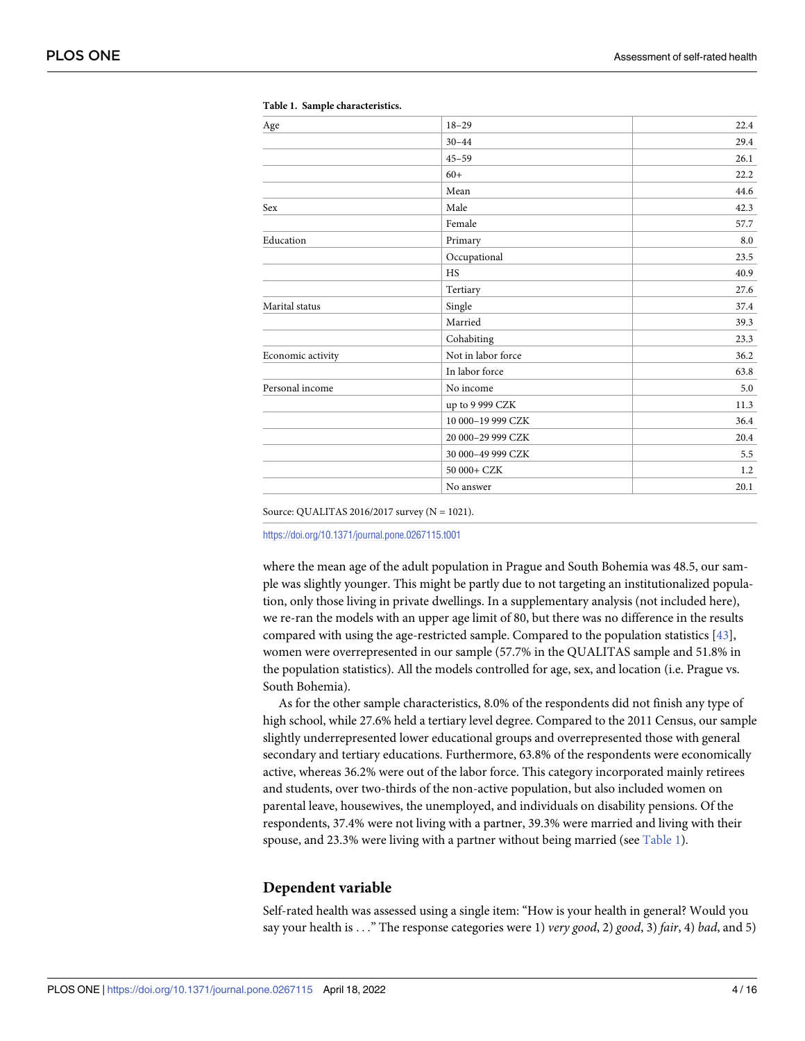| $_{\rm Age}$      | $18 - 29$          | 22.4 |
|-------------------|--------------------|------|
|                   | $30 - 44$          | 29.4 |
|                   | $45 - 59$          | 26.1 |
|                   | $60+$              | 22.2 |
|                   | Mean               | 44.6 |
| Sex               | Male               | 42.3 |
|                   | Female             | 57.7 |
| Education         | Primary            | 8.0  |
|                   | Occupational       | 23.5 |
|                   | <b>HS</b>          | 40.9 |
|                   | Tertiary           | 27.6 |
| Marital status    | Single             | 37.4 |
|                   | Married            | 39.3 |
|                   | Cohabiting         | 23.3 |
| Economic activity | Not in labor force | 36.2 |
|                   | In labor force     | 63.8 |
| Personal income   | No income          | 5.0  |
|                   | up to 9 999 CZK    | 11.3 |
|                   | 10 000-19 999 CZK  | 36.4 |
|                   | 20 000-29 999 CZK  | 20.4 |
|                   | 30 000-49 999 CZK  | 5.5  |
|                   | 50 000+ CZK        | 1.2  |
|                   | No answer          | 20.1 |

<span id="page-3-0"></span>**[Table](#page-2-0) 1. Sample characteristics.**

Source: QUALITAS 2016/2017 survey (N = 1021).

<https://doi.org/10.1371/journal.pone.0267115.t001>

where the mean age of the adult population in Prague and South Bohemia was 48.5, our sample was slightly younger. This might be partly due to not targeting an institutionalized population, only those living in private dwellings. In a supplementary analysis (not included here), we re-ran the models with an upper age limit of 80, but there was no difference in the results compared with using the age-restricted sample. Compared to the population statistics [\[43\]](#page-14-0), women were overrepresented in our sample (57.7% in the QUALITAS sample and 51.8% in the population statistics). All the models controlled for age, sex, and location (i.e. Prague vs. South Bohemia).

As for the other sample characteristics, 8.0% of the respondents did not finish any type of high school, while 27.6% held a tertiary level degree. Compared to the 2011 Census, our sample slightly underrepresented lower educational groups and overrepresented those with general secondary and tertiary educations. Furthermore, 63.8% of the respondents were economically active, whereas 36.2% were out of the labor force. This category incorporated mainly retirees and students, over two-thirds of the non-active population, but also included women on parental leave, housewives, the unemployed, and individuals on disability pensions. Of the respondents, 37.4% were not living with a partner, 39.3% were married and living with their spouse, and 23.3% were living with a partner without being married (see Table 1).

#### **Dependent variable**

Self-rated health was assessed using a single item: "How is your health in general? Would you say your health is . . ." The response categories were 1) *very good*, 2) *good*, 3) *fair*, 4) *bad*, and 5)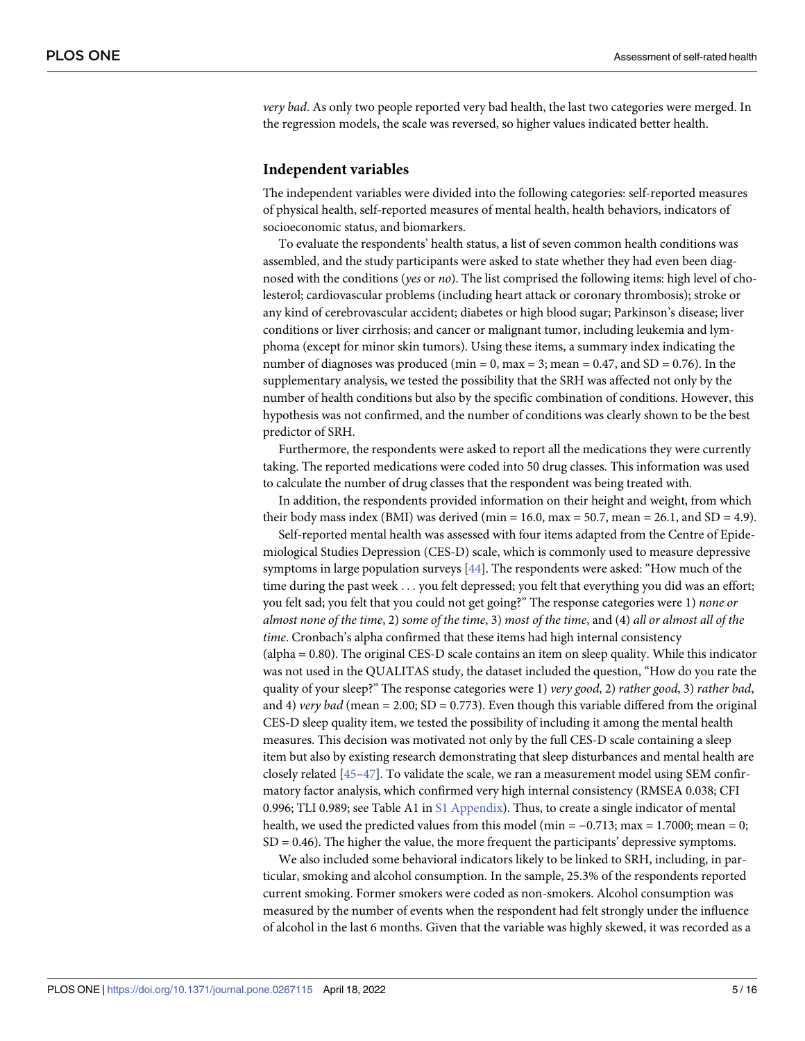<span id="page-4-0"></span>*very bad*. As only two people reported very bad health, the last two categories were merged. In the regression models, the scale was reversed, so higher values indicated better health.

#### **Independent variables**

The independent variables were divided into the following categories: self-reported measures of physical health, self-reported measures of mental health, health behaviors, indicators of socioeconomic status, and biomarkers.

To evaluate the respondents' health status, a list of seven common health conditions was assembled, and the study participants were asked to state whether they had even been diagnosed with the conditions (*yes* or *no*). The list comprised the following items: high level of cholesterol; cardiovascular problems (including heart attack or coronary thrombosis); stroke or any kind of cerebrovascular accident; diabetes or high blood sugar; Parkinson's disease; liver conditions or liver cirrhosis; and cancer or malignant tumor, including leukemia and lymphoma (except for minor skin tumors). Using these items, a summary index indicating the number of diagnoses was produced (min = 0, max = 3; mean =  $0.47$ , and SD =  $0.76$ ). In the supplementary analysis, we tested the possibility that the SRH was affected not only by the number of health conditions but also by the specific combination of conditions. However, this hypothesis was not confirmed, and the number of conditions was clearly shown to be the best predictor of SRH.

Furthermore, the respondents were asked to report all the medications they were currently taking. The reported medications were coded into 50 drug classes. This information was used to calculate the number of drug classes that the respondent was being treated with.

In addition, the respondents provided information on their height and weight, from which their body mass index (BMI) was derived (min = 16.0, max = 50.7, mean = 26.1, and SD = 4.9).

Self-reported mental health was assessed with four items adapted from the Centre of Epidemiological Studies Depression (CES-D) scale, which is commonly used to measure depressive symptoms in large population surveys [[44](#page-14-0)]. The respondents were asked: "How much of the time during the past week . . . you felt depressed; you felt that everything you did was an effort; you felt sad; you felt that you could not get going?" The response categories were 1) *none or* almost none of the time, 2) some of the time, 3) most of the time, and (4) all or almost all of the *time*. Cronbach's alpha confirmed that these items had high internal consistency (alpha = 0.80). The original CES-D scale contains an item on sleep quality. While this indicator was not used in the QUALITAS study, the dataset included the question, "How do you rate the quality of your sleep?" The response categories were 1) *very good*, 2) *rather good*, 3) *rather bad*, and 4) *very bad* (mean = 2.00; SD = 0.773). Even though this variable differed from the original CES-D sleep quality item, we tested the possibility of including it among the mental health measures. This decision was motivated not only by the full CES-D scale containing a sleep item but also by existing research demonstrating that sleep disturbances and mental health are closely related [[45–47\]](#page-14-0). To validate the scale, we ran a measurement model using SEM confirmatory factor analysis, which confirmed very high internal consistency (RMSEA 0.038; CFI 0.996; TLI 0.989; see Table A1 in S1 [Appendix\)](#page-12-0). Thus, to create a single indicator of mental health, we used the predicted values from this model (min =  $-0.713$ ; max = 1.7000; mean = 0;  $SD = 0.46$ ). The higher the value, the more frequent the participants' depressive symptoms.

We also included some behavioral indicators likely to be linked to SRH, including, in particular, smoking and alcohol consumption. In the sample, 25.3% of the respondents reported current smoking. Former smokers were coded as non-smokers. Alcohol consumption was measured by the number of events when the respondent had felt strongly under the influence of alcohol in the last 6 months. Given that the variable was highly skewed, it was recorded as a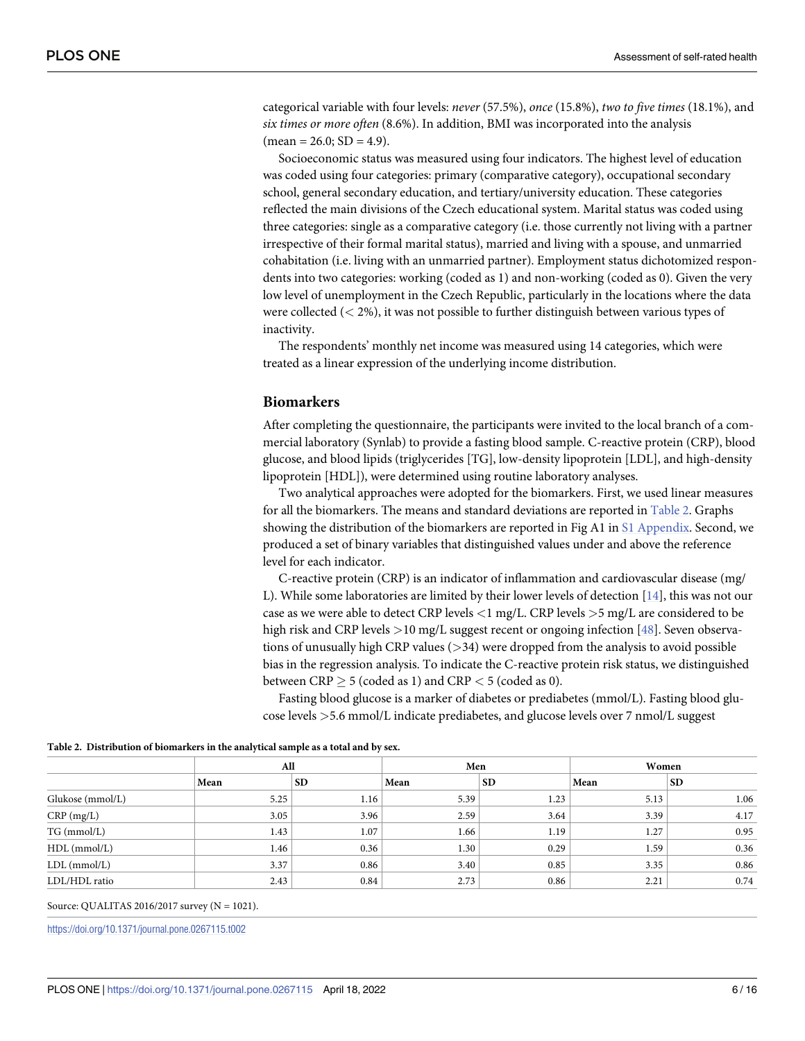<span id="page-5-0"></span>categorical variable with four levels: *never* (57.5%), *once* (15.8%), *two to five times* (18.1%), and *six times or more often* (8.6%). In addition, BMI was incorporated into the analysis  $mean = 26.0; SD = 4.9$ .

Socioeconomic status was measured using four indicators. The highest level of education was coded using four categories: primary (comparative category), occupational secondary school, general secondary education, and tertiary/university education. These categories reflected the main divisions of the Czech educational system. Marital status was coded using three categories: single as a comparative category (i.e. those currently not living with a partner irrespective of their formal marital status), married and living with a spouse, and unmarried cohabitation (i.e. living with an unmarried partner). Employment status dichotomized respondents into two categories: working (coded as 1) and non-working (coded as 0). Given the very low level of unemployment in the Czech Republic, particularly in the locations where the data were collected (*<* 2%), it was not possible to further distinguish between various types of inactivity.

The respondents' monthly net income was measured using 14 categories, which were treated as a linear expression of the underlying income distribution.

#### **Biomarkers**

After completing the questionnaire, the participants were invited to the local branch of a commercial laboratory (Synlab) to provide a fasting blood sample. C-reactive protein (CRP), blood glucose, and blood lipids (triglycerides [TG], low-density lipoprotein [LDL], and high-density lipoprotein [HDL]), were determined using routine laboratory analyses.

Two analytical approaches were adopted for the biomarkers. First, we used linear measures for all the biomarkers. The means and standard deviations are reported in Table 2. Graphs showing the distribution of the biomarkers are reported in Fig A1 in S1 [Appendix](#page-12-0). Second, we produced a set of binary variables that distinguished values under and above the reference level for each indicator.

C-reactive protein (CRP) is an indicator of inflammation and cardiovascular disease (mg/ L). While some laboratories are limited by their lower levels of detection [[14](#page-13-0)], this was not our case as we were able to detect CRP levels *<*1 mg/L. CRP levels *>*5 mg/L are considered to be high risk and CRP levels *>*10 mg/L suggest recent or ongoing infection [[48](#page-14-0)]. Seven observations of unusually high CRP values (*>*34) were dropped from the analysis to avoid possible bias in the regression analysis. To indicate the C-reactive protein risk status, we distinguished between  $CRP > 5$  (coded as 1) and  $CRP < 5$  (coded as 0).

Fasting blood glucose is a marker of diabetes or prediabetes (mmol/L). Fasting blood glucose levels *>*5.6 mmol/L indicate prediabetes, and glucose levels over 7 nmol/L suggest

|                             | All  |           | Men  |           | Women |           |  |  |
|-----------------------------|------|-----------|------|-----------|-------|-----------|--|--|
|                             | Mean | <b>SD</b> | Mean | <b>SD</b> | Mean  | <b>SD</b> |  |  |
| Glukose (mmol/L)            | 5.25 | 1.16      | 5.39 | 1.23      | 5.13  | 1.06      |  |  |
|                             | 3.05 | 3.96      | 2.59 | 3.64      | 3.39  | 4.17      |  |  |
| $CRP$ (mg/L)<br>TG (mmol/L) | 1.43 | 1.07      | 1.66 | 1.19      | 1.27  | 0.95      |  |  |
| $HDL$ (mmol/L)              | 1.46 | 0.36      | 1.30 | 0.29      | 1.59  | 0.36      |  |  |
| $LDL$ (mmol/ $L$ )          | 3.37 | 0.86      | 3.40 | 0.85      | 3.35  | 0.86      |  |  |
| LDL/HDL ratio               | 2.43 | 0.84      | 2.73 | 0.86      | 2.21  | 0.74      |  |  |

**Table 2. Distribution of biomarkers in the analytical sample as a total and by sex.**

Source: QUALITAS 2016/2017 survey (N = 1021).

<https://doi.org/10.1371/journal.pone.0267115.t002>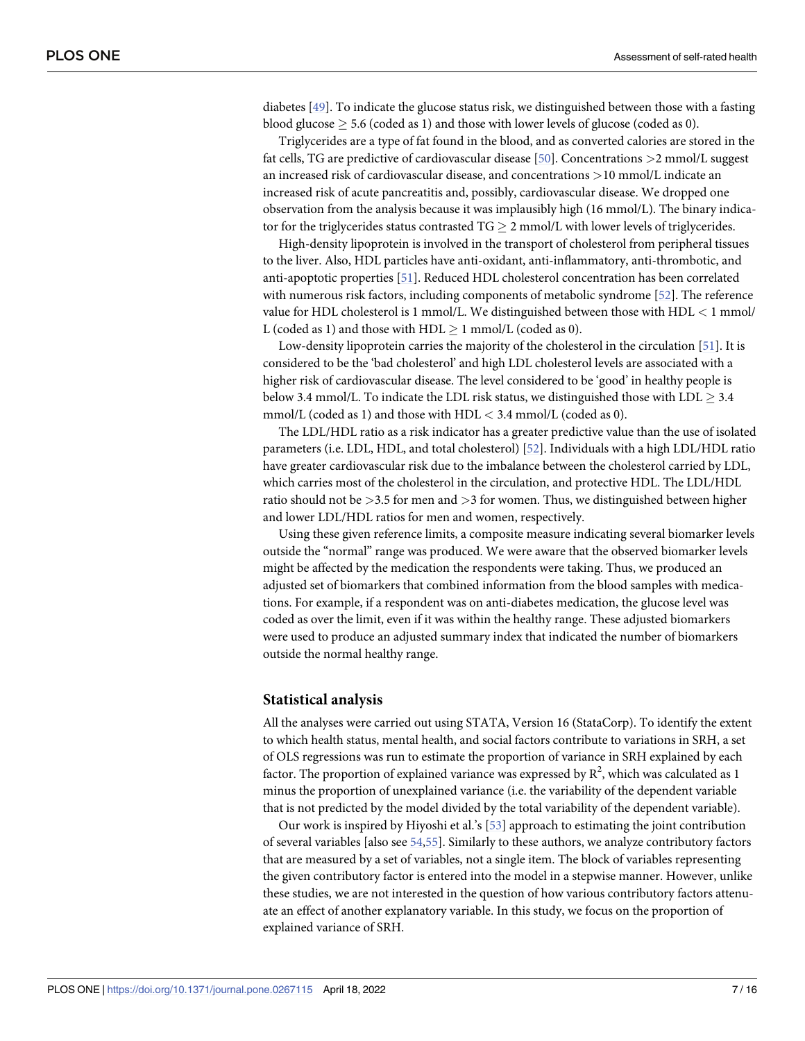<span id="page-6-0"></span>diabetes [\[49\]](#page-14-0). To indicate the glucose status risk, we distinguished between those with a fasting blood glucose  $\geq$  5.6 (coded as 1) and those with lower levels of glucose (coded as 0).

Triglycerides are a type of fat found in the blood, and as converted calories are stored in the fat cells, TG are predictive of cardiovascular disease [\[50\]](#page-15-0). Concentrations *>*2 mmol/L suggest an increased risk of cardiovascular disease, and concentrations *>*10 mmol/L indicate an increased risk of acute pancreatitis and, possibly, cardiovascular disease. We dropped one observation from the analysis because it was implausibly high (16 mmol/L). The binary indicator for the triglycerides status contrasted  $TG > 2$  mmol/L with lower levels of triglycerides.

High-density lipoprotein is involved in the transport of cholesterol from peripheral tissues to the liver. Also, HDL particles have anti-oxidant, anti-inflammatory, anti-thrombotic, and anti-apoptotic properties [\[51\]](#page-15-0). Reduced HDL cholesterol concentration has been correlated with numerous risk factors, including components of metabolic syndrome [\[52\]](#page-15-0). The reference value for HDL cholesterol is 1 mmol/L. We distinguished between those with HDL *<* 1 mmol/ L (coded as 1) and those with  $HDL > 1$  mmol/L (coded as 0).

Low-density lipoprotein carries the majority of the cholesterol in the circulation [[51](#page-15-0)]. It is considered to be the 'bad cholesterol' and high LDL cholesterol levels are associated with a higher risk of cardiovascular disease. The level considered to be 'good' in healthy people is below 3.4 mmol/L. To indicate the LDL risk status, we distinguished those with LDL  $\geq$  3.4 mmol/L (coded as 1) and those with HDL *<* 3.4 mmol/L (coded as 0).

The LDL/HDL ratio as a risk indicator has a greater predictive value than the use of isolated parameters (i.e. LDL, HDL, and total cholesterol) [[52](#page-15-0)]. Individuals with a high LDL/HDL ratio have greater cardiovascular risk due to the imbalance between the cholesterol carried by LDL, which carries most of the cholesterol in the circulation, and protective HDL. The LDL/HDL ratio should not be *>*3.5 for men and *>*3 for women. Thus, we distinguished between higher and lower LDL/HDL ratios for men and women, respectively.

Using these given reference limits, a composite measure indicating several biomarker levels outside the "normal" range was produced. We were aware that the observed biomarker levels might be affected by the medication the respondents were taking. Thus, we produced an adjusted set of biomarkers that combined information from the blood samples with medications. For example, if a respondent was on anti-diabetes medication, the glucose level was coded as over the limit, even if it was within the healthy range. These adjusted biomarkers were used to produce an adjusted summary index that indicated the number of biomarkers outside the normal healthy range.

#### **Statistical analysis**

All the analyses were carried out using STATA, Version 16 (StataCorp). To identify the extent to which health status, mental health, and social factors contribute to variations in SRH, a set of OLS regressions was run to estimate the proportion of variance in SRH explained by each factor. The proportion of explained variance was expressed by  $R^2$ , which was calculated as 1 minus the proportion of unexplained variance (i.e. the variability of the dependent variable that is not predicted by the model divided by the total variability of the dependent variable).

Our work is inspired by Hiyoshi et al.'s [\[53\]](#page-15-0) approach to estimating the joint contribution of several variables [also see [54,55](#page-15-0)]. Similarly to these authors, we analyze contributory factors that are measured by a set of variables, not a single item. The block of variables representing the given contributory factor is entered into the model in a stepwise manner. However, unlike these studies, we are not interested in the question of how various contributory factors attenuate an effect of another explanatory variable. In this study, we focus on the proportion of explained variance of SRH.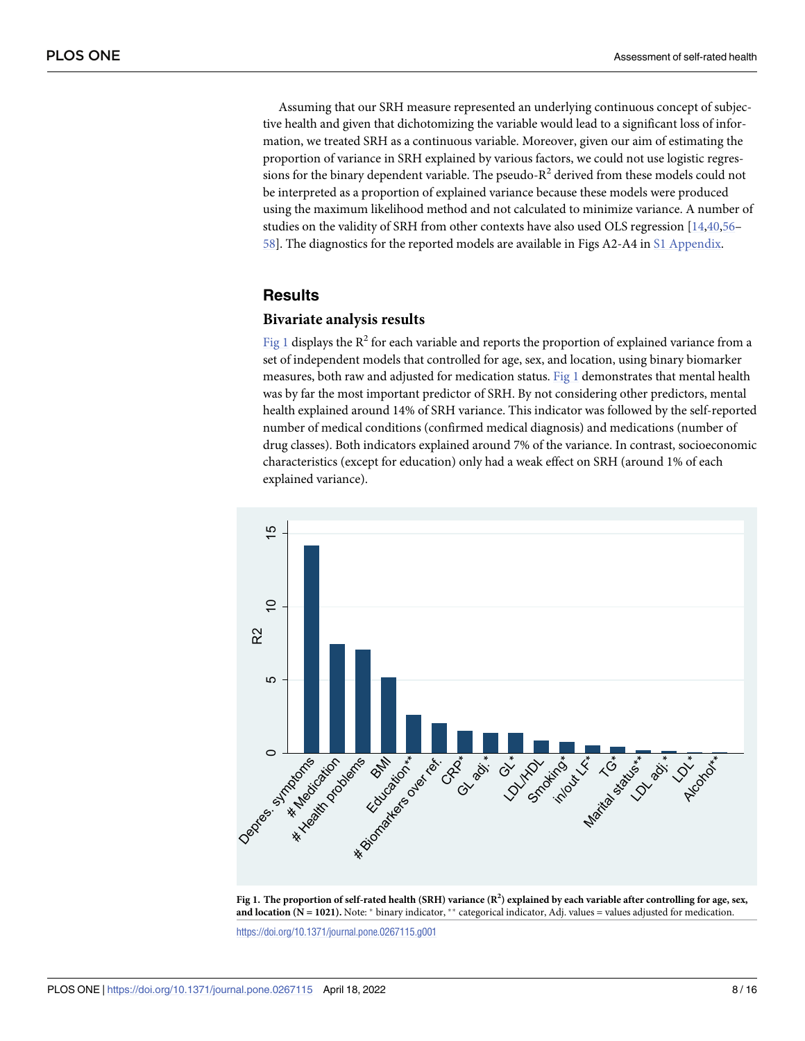<span id="page-7-0"></span>Assuming that our SRH measure represented an underlying continuous concept of subjective health and given that dichotomizing the variable would lead to a significant loss of information, we treated SRH as a continuous variable. Moreover, given our aim of estimating the proportion of variance in SRH explained by various factors, we could not use logistic regressions for the binary dependent variable. The pseudo- $R^2$  derived from these models could not be interpreted as a proportion of explained variance because these models were produced using the maximum likelihood method and not calculated to minimize variance. A number of studies on the validity of SRH from other contexts have also used OLS regression [\[14,](#page-13-0)[40,](#page-14-0)[56](#page-15-0)– [58\]](#page-15-0). The diagnostics for the reported models are available in Figs A2-A4 in S1 [Appendix.](#page-12-0)

#### **Results**

#### **Bivariate analysis results**

Fig 1 displays the  $R^2$  for each variable and reports the proportion of explained variance from a set of independent models that controlled for age, sex, and location, using binary biomarker measures, both raw and adjusted for medication status. Fig 1 demonstrates that mental health was by far the most important predictor of SRH. By not considering other predictors, mental health explained around 14% of SRH variance. This indicator was followed by the self-reported number of medical conditions (confirmed medical diagnosis) and medications (number of drug classes). Both indicators explained around 7% of the variance. In contrast, socioeconomic characteristics (except for education) only had a weak effect on SRH (around 1% of each explained variance).



Fig 1. The proportion of self-rated health (SRH) variance ( $R^2$ ) explained by each variable after controlling for age, sex, **and location** (N = 1021). Note:  $*$  binary indicator,  $*$  categorical indicator, Adj. values = values adjusted for medication.

<https://doi.org/10.1371/journal.pone.0267115.g001>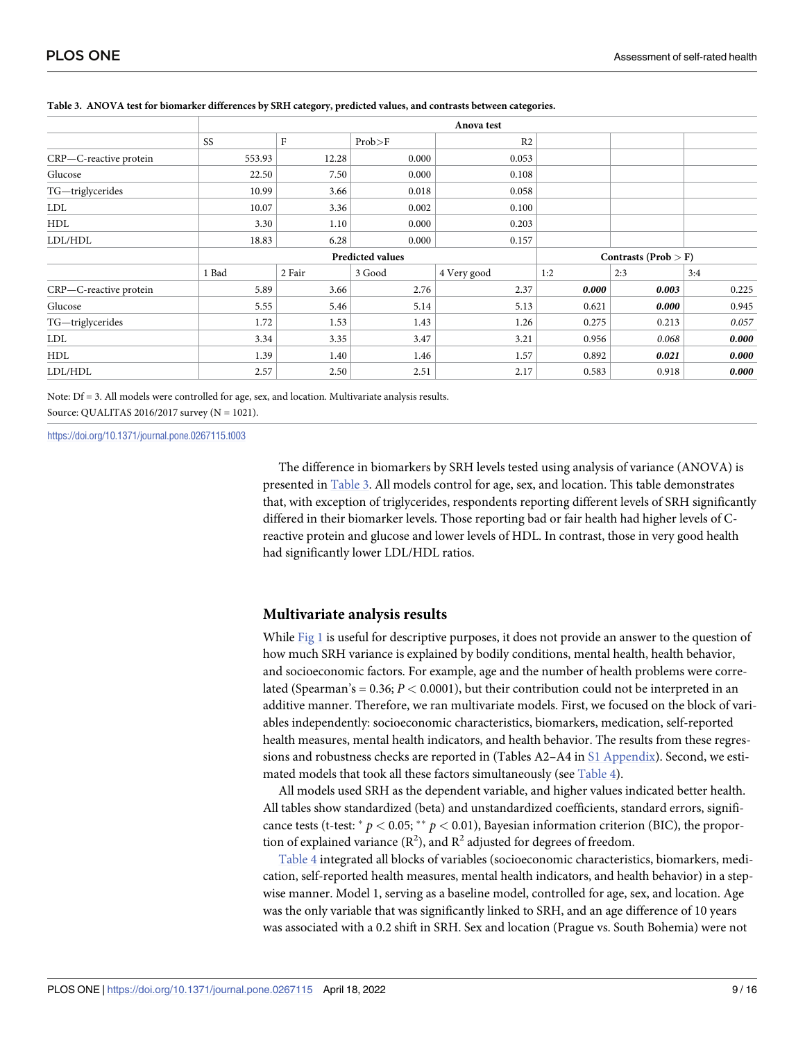|                        |        |        |                         | Anova test     |                        |       |       |
|------------------------|--------|--------|-------------------------|----------------|------------------------|-------|-------|
|                        | SS     | F      | Prob > F                | R <sub>2</sub> |                        |       |       |
| CRP-C-reactive protein | 553.93 | 12.28  | 0.000                   | 0.053          |                        |       |       |
| Glucose                | 22.50  | 7.50   | 0.000                   | 0.108          |                        |       |       |
| TG-triglycerides       | 10.99  | 3.66   | 0.018                   | 0.058          |                        |       |       |
| <b>LDL</b>             | 10.07  | 3.36   | 0.002                   | 0.100          |                        |       |       |
| HDL                    | 3.30   | 1.10   | 0.000                   | 0.203          |                        |       |       |
| LDL/HDL                | 18.83  | 6.28   | 0.000                   | 0.157          |                        |       |       |
|                        |        |        | <b>Predicted values</b> |                | Contrasts (Prob $>$ F) |       |       |
|                        | 1 Bad  | 2 Fair | 3 Good                  | 4 Very good    | 1:2                    | 2:3   | 3:4   |
| CRP-C-reactive protein | 5.89   | 3.66   | 2.76                    | 2.37           | 0.000                  | 0.003 | 0.225 |
| Glucose                | 5.55   | 5.46   | 5.14                    | 5.13           | 0.621                  | 0.000 | 0.945 |
| TG-triglycerides       | 1.72   | 1.53   | 1.43                    | 1.26           | 0.275                  | 0.213 | 0.057 |
| LDL                    | 3.34   | 3.35   | 3.47                    | 3.21           | 0.956                  | 0.068 | 0.000 |
| HDL                    | 1.39   | 1.40   | 1.46                    | 1.57           | 0.892                  | 0.021 | 0.000 |
| LDL/HDL                | 2.57   | 2.50   | 2.51                    | 2.17           | 0.583                  | 0.918 | 0.000 |

#### <span id="page-8-0"></span>Table 3. ANOVA test for biomarker differences by SRH category, predicted values, and contrasts between categories.

Note: Df = 3. All models were controlled for age, sex, and location. Multivariate analysis results. Source: QUALITAS 2016/2017 survey (N = 1021).

<https://doi.org/10.1371/journal.pone.0267115.t003>

The difference in biomarkers by SRH levels tested using analysis of variance (ANOVA) is presented in Table 3. All models control for age, sex, and location. This table demonstrates that, with exception of triglycerides, respondents reporting different levels of SRH significantly differed in their biomarker levels. Those reporting bad or fair health had higher levels of Creactive protein and glucose and lower levels of HDL. In contrast, those in very good health had significantly lower LDL/HDL ratios.

#### **Multivariate analysis results**

While [Fig](#page-7-0) 1 is useful for descriptive purposes, it does not provide an answer to the question of how much SRH variance is explained by bodily conditions, mental health, health behavior, and socioeconomic factors. For example, age and the number of health problems were correlated (Spearman's = 0.36; *P <* 0.0001), but their contribution could not be interpreted in an additive manner. Therefore, we ran multivariate models. First, we focused on the block of variables independently: socioeconomic characteristics, biomarkers, medication, self-reported health measures, mental health indicators, and health behavior. The results from these regressions and robustness checks are reported in (Tables A2–A4 in S1 [Appendix\)](#page-12-0). Second, we estimated models that took all these factors simultaneously (see [Table](#page-9-0) 4).

All models used SRH as the dependent variable, and higher values indicated better health. All tables show standardized (beta) and unstandardized coefficients, standard errors, significance tests (t-test:  $p < 0.05$ ;  $p < 0.01$ ), Bayesian information criterion (BIC), the proportion of explained variance  $(R^2)$ , and  $R^2$  adjusted for degrees of freedom.

[Table](#page-9-0) 4 integrated all blocks of variables (socioeconomic characteristics, biomarkers, medication, self-reported health measures, mental health indicators, and health behavior) in a stepwise manner. Model 1, serving as a baseline model, controlled for age, sex, and location. Age was the only variable that was significantly linked to SRH, and an age difference of 10 years was associated with a 0.2 shift in SRH. Sex and location (Prague vs. South Bohemia) were not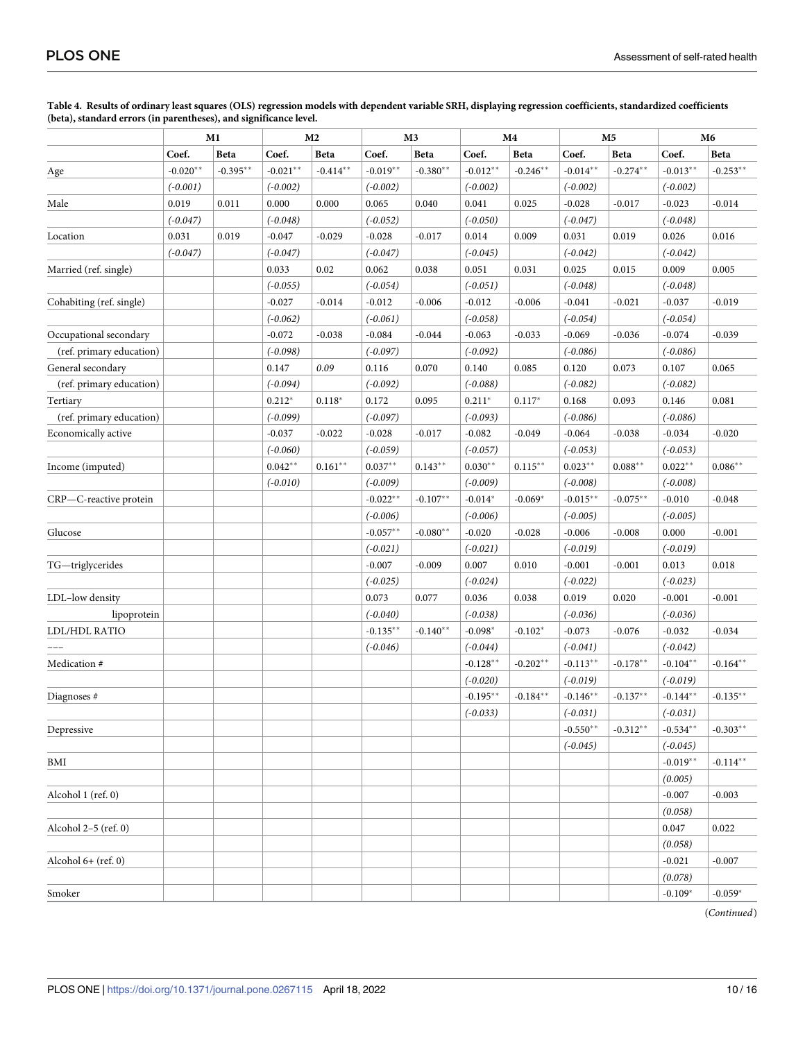|                          | M1         |             | M <sub>2</sub> |             | M <sub>3</sub> |            | M4          |            | M <sub>5</sub> |            | M6         |             |
|--------------------------|------------|-------------|----------------|-------------|----------------|------------|-------------|------------|----------------|------------|------------|-------------|
|                          | Coef.      | <b>Beta</b> | Coef.          | Beta        | Coef.          | Beta       | Coef.       | Beta       | Coef.          | Beta       | Coef.      | Beta        |
| Age                      | $-0.020**$ | $-0.395**$  | $-0.021**$     | $-0.414***$ | $-0.019**$     | $-0.380**$ | $-0.012**$  | $-0.246**$ | $-0.014**$     | $-0.274**$ | $-0.013**$ | $-0.253**$  |
|                          | $(-0.001)$ |             | $(-0.002)$     |             | $(-0.002)$     |            | $(-0.002)$  |            | $(-0.002)$     |            | $(-0.002)$ |             |
| Male                     | 0.019      | 0.011       | 0.000          | 0.000       | 0.065          | 0.040      | 0.041       | 0.025      | $-0.028$       | $-0.017$   | $-0.023$   | $-0.014$    |
|                          | $(-0.047)$ |             | $(-0.048)$     |             | $(-0.052)$     |            | $(-0.050)$  |            | $(-0.047)$     |            | $(-0.048)$ |             |
| Location                 | 0.031      | 0.019       | $-0.047$       | $-0.029$    | $-0.028$       | $-0.017$   | 0.014       | 0.009      | 0.031          | 0.019      | 0.026      | 0.016       |
|                          | $(-0.047)$ |             | $(-0.047)$     |             | $(-0.047)$     |            | $(-0.045)$  |            | $(-0.042)$     |            | $(-0.042)$ |             |
| Married (ref. single)    |            |             | 0.033          | 0.02        | 0.062          | 0.038      | 0.051       | 0.031      | 0.025          | 0.015      | 0.009      | 0.005       |
|                          |            |             | $(-0.055)$     |             | $(-0.054)$     |            | $(-0.051)$  |            | $(-0.048)$     |            | $(-0.048)$ |             |
| Cohabiting (ref. single) |            |             | $-0.027$       | $-0.014$    | $-0.012$       | $-0.006$   | $-0.012$    | $-0.006$   | $-0.041$       | $-0.021$   | $-0.037$   | $-0.019$    |
|                          |            |             | $(-0.062)$     |             | $(-0.061)$     |            | $(-0.058)$  |            | $(-0.054)$     |            | $(-0.054)$ |             |
| Occupational secondary   |            |             | $-0.072$       | $-0.038$    | $-0.084$       | $-0.044$   | $-0.063$    | $-0.033$   | $-0.069$       | $-0.036$   | $-0.074$   | $-0.039$    |
| (ref. primary education) |            |             | $(-0.098)$     |             | $(-0.097)$     |            | $(-0.092)$  |            | $(-0.086)$     |            | $(-0.086)$ |             |
| General secondary        |            |             | 0.147          | 0.09        | 0.116          | 0.070      | 0.140       | 0.085      | 0.120          | 0.073      | 0.107      | 0.065       |
| (ref. primary education) |            |             | $(-0.094)$     |             | $(-0.092)$     |            | $(-0.088)$  |            | $(-0.082)$     |            | $(-0.082)$ |             |
| Tertiary                 |            |             | $0.212*$       | $0.118*$    | 0.172          | 0.095      | $0.211*$    | $0.117*$   | 0.168          | 0.093      | 0.146      | 0.081       |
| (ref. primary education) |            |             | $(-0.099)$     |             | $(-0.097)$     |            | $(-0.093)$  |            | $(-0.086)$     |            | $(-0.086)$ |             |
| Economically active      |            |             | $-0.037$       | $-0.022$    | $-0.028$       | $-0.017$   | $-0.082$    | $-0.049$   | $-0.064$       | $-0.038$   | $-0.034$   | $-0.020$    |
|                          |            |             | $(-0.060)$     |             | $(-0.059)$     |            | $(-0.057)$  |            | $(-0.053)$     |            | $(-0.053)$ |             |
| Income (imputed)         |            |             | $0.042**$      | $0.161**$   | $0.037**$      | $0.143**$  | $0.030**$   | $0.115***$ | $0.023**$      | $0.088**$  | $0.022**$  | $0.086**$   |
|                          |            |             | $(-0.010)$     |             | $(-0.009)$     |            | $(-0.009)$  |            | $(-0.008)$     |            | $(-0.008)$ |             |
| CRP-C-reactive protein   |            |             |                |             | $-0.022**$     | $-0.107**$ | $-0.014*$   | $-0.069*$  | $-0.015**$     | $-0.075**$ | $-0.010$   | $-0.048$    |
|                          |            |             |                |             | $(-0.006)$     |            | $(-0.006)$  |            | $(-0.005)$     |            | $(-0.005)$ |             |
| Glucose                  |            |             |                |             | $-0.057**$     | $-0.080**$ | $-0.020$    | $-0.028$   | $-0.006$       | $-0.008$   | 0.000      | $-0.001$    |
|                          |            |             |                |             | $(-0.021)$     |            | $(-0.021)$  |            | $(-0.019)$     |            | $(-0.019)$ |             |
| TG-triglycerides         |            |             |                |             | $-0.007$       | $-0.009$   | 0.007       | 0.010      | $-0.001$       | $-0.001$   | 0.013      | 0.018       |
|                          |            |             |                |             | $(-0.025)$     |            | $(-0.024)$  |            | $(-0.022)$     |            | $(-0.023)$ |             |
| LDL-low density          |            |             |                |             | 0.073          | 0.077      | 0.036       | 0.038      | 0.019          | 0.020      | $-0.001$   | $-0.001$    |
| lipoprotein              |            |             |                |             | $(-0.040)$     |            | $(-0.038)$  |            | $(-0.036)$     |            | $(-0.036)$ |             |
| LDL/HDL RATIO            |            |             |                |             | $-0.135***$    | $-0.140**$ | $-0.098*$   | $-0.102*$  | $-0.073$       | $-0.076$   | $-0.032$   | $-0.034$    |
|                          |            |             |                |             | $(-0.046)$     |            | $(-0.044)$  |            | $(-0.041)$     |            | $(-0.042)$ |             |
| Medication #             |            |             |                |             |                |            | $-0.128**$  | $-0.202**$ | $-0.113**$     | $-0.178**$ | $-0.104**$ | $-0.164**$  |
|                          |            |             |                |             |                |            | $(-0.020)$  |            | $(-0.019)$     |            | $(-0.019)$ |             |
| Diagnoses#               |            |             |                |             |                |            | $-0.195***$ | $-0.184**$ | $-0.146**$     | $-0.137**$ | $-0.144**$ | $-0.135***$ |
|                          |            |             |                |             |                |            | $(-0.033)$  |            | $(-0.031)$     |            | $(-0.031)$ |             |
| Depressive               |            |             |                |             |                |            |             |            | $-0.550**$     | $-0.312**$ | $-0.534**$ | $-0.303**$  |
|                          |            |             |                |             |                |            |             |            | $(-0.045)$     |            | $(-0.045)$ |             |
| BMI                      |            |             |                |             |                |            |             |            |                |            | $-0.019**$ | $-0.114**$  |
|                          |            |             |                |             |                |            |             |            |                |            | (0.005)    |             |
| Alcohol 1 (ref. 0)       |            |             |                |             |                |            |             |            |                |            | $-0.007$   | $-0.003$    |
|                          |            |             |                |             |                |            |             |            |                |            | (0.058)    |             |
| Alcohol 2-5 (ref. 0)     |            |             |                |             |                |            |             |            |                |            | 0.047      | 0.022       |
|                          |            |             |                |             |                |            |             |            |                |            | (0.058)    |             |
| Alcohol $6+$ (ref. 0)    |            |             |                |             |                |            |             |            |                |            | $-0.021$   | $-0.007$    |
|                          |            |             |                |             |                |            |             |            |                |            | (0.078)    |             |
| Smoker                   |            |             |                |             |                |            |             |            |                |            | $-0.109*$  | $-0.059*$   |

<span id="page-9-0"></span>[Table](#page-8-0) 4. Results of ordinary least squares (OLS) regression models with dependent variable SRH, displaying regression coefficients, standardized coefficients **(beta), standard errors (in parentheses), and significance level.**

(*Continued*)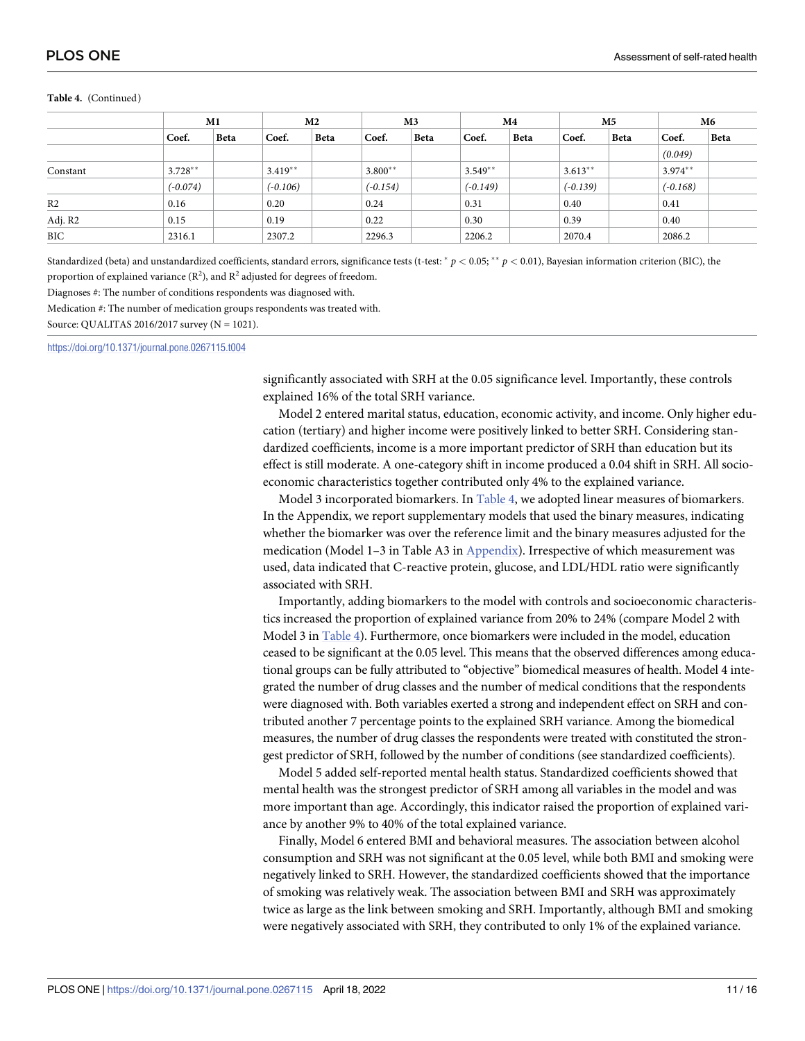|                |            | M1          |            | M <sub>2</sub> |            | M3          |            | M4   |            | M5   |            | M6          |  |
|----------------|------------|-------------|------------|----------------|------------|-------------|------------|------|------------|------|------------|-------------|--|
|                | Coef.      | <b>Beta</b> | Coef.      | <b>Beta</b>    | Coef.      | <b>Beta</b> | Coef.      | Beta | Coef.      | Beta | Coef.      | <b>Beta</b> |  |
|                |            |             |            |                |            |             |            |      |            |      | (0.049)    |             |  |
| Constant       | $3.728**$  |             | $3.419**$  |                | $3.800**$  |             | $3.549**$  |      | $3.613**$  |      | $3.974**$  |             |  |
|                | $(-0.074)$ |             | $(-0.106)$ |                | $(-0.154)$ |             | $(-0.149)$ |      | $(-0.139)$ |      | $(-0.168)$ |             |  |
| R <sub>2</sub> | 0.16       |             | 0.20       |                | 0.24       |             | 0.31       |      | 0.40       |      | 0.41       |             |  |
| Adj. R2        | 0.15       |             | 0.19       |                | 0.22       |             | 0.30       |      | 0.39       |      | 0.40       |             |  |
| <b>BIC</b>     | 2316.1     |             | 2307.2     |                | 2296.3     |             | 2206.2     |      | 2070.4     |      | 2086.2     |             |  |

#### **Table 4.** (Continued)

Standardized (beta) and unstandardized coefficients, standard errors, significance tests (t-test:  $p < 0.05$ ;  $\binom{*}{} p < 0.01$ ), Bayesian information criterion (BIC), the proportion of explained variance  $(R^2)$ , and  $R^2$  adjusted for degrees of freedom.

Diagnoses #: The number of conditions respondents was diagnosed with.

Medication #: The number of medication groups respondents was treated with.

Source: QUALITAS 2016/2017 survey (N = 1021).

<https://doi.org/10.1371/journal.pone.0267115.t004>

significantly associated with SRH at the 0.05 significance level. Importantly, these controls explained 16% of the total SRH variance.

Model 2 entered marital status, education, economic activity, and income. Only higher education (tertiary) and higher income were positively linked to better SRH. Considering standardized coefficients, income is a more important predictor of SRH than education but its effect is still moderate. A one-category shift in income produced a 0.04 shift in SRH. All socioeconomic characteristics together contributed only 4% to the explained variance.

Model 3 incorporated biomarkers. In [Table](#page-9-0) 4, we adopted linear measures of biomarkers. In the Appendix, we report supplementary models that used the binary measures, indicating whether the biomarker was over the reference limit and the binary measures adjusted for the medication (Model 1–3 in Table A3 in [Appendix](#page-12-0)). Irrespective of which measurement was used, data indicated that C-reactive protein, glucose, and LDL/HDL ratio were significantly associated with SRH.

Importantly, adding biomarkers to the model with controls and socioeconomic characteristics increased the proportion of explained variance from 20% to 24% (compare Model 2 with Model 3 in [Table](#page-9-0) 4). Furthermore, once biomarkers were included in the model, education ceased to be significant at the 0.05 level. This means that the observed differences among educational groups can be fully attributed to "objective" biomedical measures of health. Model 4 integrated the number of drug classes and the number of medical conditions that the respondents were diagnosed with. Both variables exerted a strong and independent effect on SRH and contributed another 7 percentage points to the explained SRH variance. Among the biomedical measures, the number of drug classes the respondents were treated with constituted the strongest predictor of SRH, followed by the number of conditions (see standardized coefficients).

Model 5 added self-reported mental health status. Standardized coefficients showed that mental health was the strongest predictor of SRH among all variables in the model and was more important than age. Accordingly, this indicator raised the proportion of explained variance by another 9% to 40% of the total explained variance.

Finally, Model 6 entered BMI and behavioral measures. The association between alcohol consumption and SRH was not significant at the 0.05 level, while both BMI and smoking were negatively linked to SRH. However, the standardized coefficients showed that the importance of smoking was relatively weak. The association between BMI and SRH was approximately twice as large as the link between smoking and SRH. Importantly, although BMI and smoking were negatively associated with SRH, they contributed to only 1% of the explained variance.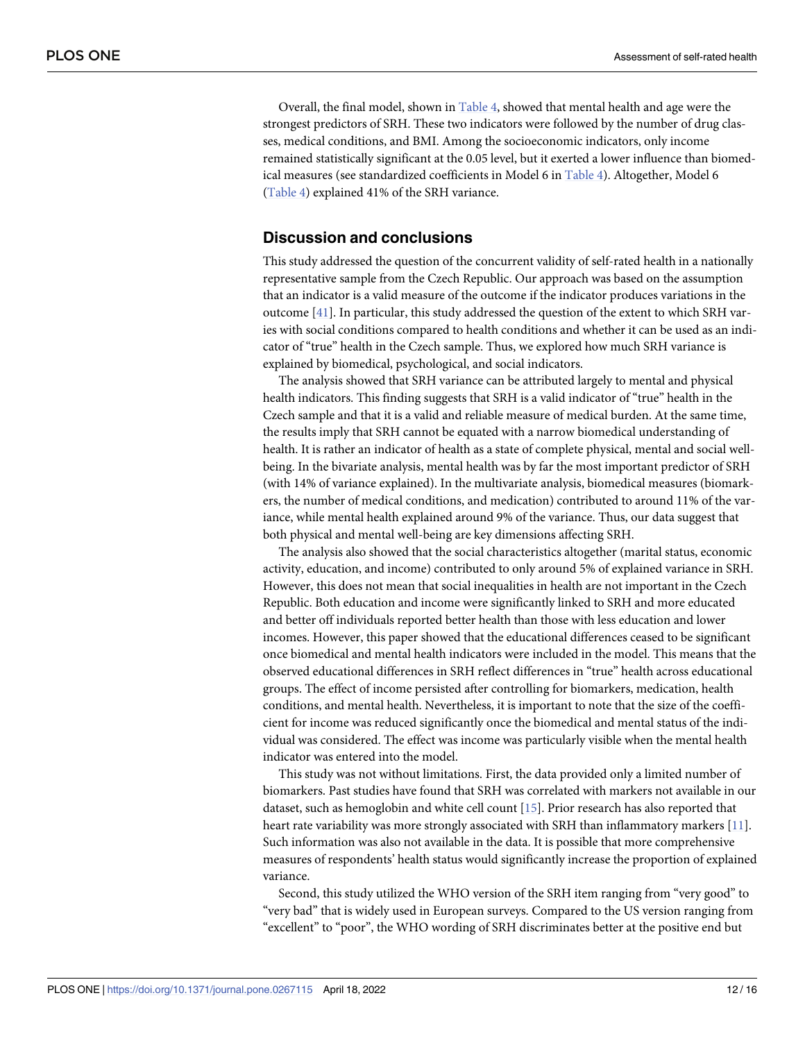<span id="page-11-0"></span>Overall, the final model, shown in [Table](#page-9-0) 4, showed that mental health and age were the strongest predictors of SRH. These two indicators were followed by the number of drug classes, medical conditions, and BMI. Among the socioeconomic indicators, only income remained statistically significant at the 0.05 level, but it exerted a lower influence than biomedical measures (see standardized coefficients in Model 6 in [Table](#page-9-0) 4). Altogether, Model 6 [\(Table](#page-9-0) 4) explained 41% of the SRH variance.

# **Discussion and conclusions**

This study addressed the question of the concurrent validity of self-rated health in a nationally representative sample from the Czech Republic. Our approach was based on the assumption that an indicator is a valid measure of the outcome if the indicator produces variations in the outcome [[41](#page-14-0)]. In particular, this study addressed the question of the extent to which SRH varies with social conditions compared to health conditions and whether it can be used as an indicator of "true" health in the Czech sample. Thus, we explored how much SRH variance is explained by biomedical, psychological, and social indicators.

The analysis showed that SRH variance can be attributed largely to mental and physical health indicators. This finding suggests that SRH is a valid indicator of "true" health in the Czech sample and that it is a valid and reliable measure of medical burden. At the same time, the results imply that SRH cannot be equated with a narrow biomedical understanding of health. It is rather an indicator of health as a state of complete physical, mental and social wellbeing. In the bivariate analysis, mental health was by far the most important predictor of SRH (with 14% of variance explained). In the multivariate analysis, biomedical measures (biomarkers, the number of medical conditions, and medication) contributed to around 11% of the variance, while mental health explained around 9% of the variance. Thus, our data suggest that both physical and mental well-being are key dimensions affecting SRH.

The analysis also showed that the social characteristics altogether (marital status, economic activity, education, and income) contributed to only around 5% of explained variance in SRH. However, this does not mean that social inequalities in health are not important in the Czech Republic. Both education and income were significantly linked to SRH and more educated and better off individuals reported better health than those with less education and lower incomes. However, this paper showed that the educational differences ceased to be significant once biomedical and mental health indicators were included in the model. This means that the observed educational differences in SRH reflect differences in "true" health across educational groups. The effect of income persisted after controlling for biomarkers, medication, health conditions, and mental health. Nevertheless, it is important to note that the size of the coefficient for income was reduced significantly once the biomedical and mental status of the individual was considered. The effect was income was particularly visible when the mental health indicator was entered into the model.

This study was not without limitations. First, the data provided only a limited number of biomarkers. Past studies have found that SRH was correlated with markers not available in our dataset, such as hemoglobin and white cell count [\[15\]](#page-13-0). Prior research has also reported that heart rate variability was more strongly associated with SRH than inflammatory markers [[11](#page-13-0)]. Such information was also not available in the data. It is possible that more comprehensive measures of respondents' health status would significantly increase the proportion of explained variance.

Second, this study utilized the WHO version of the SRH item ranging from "very good" to "very bad" that is widely used in European surveys. Compared to the US version ranging from "excellent" to "poor", the WHO wording of SRH discriminates better at the positive end but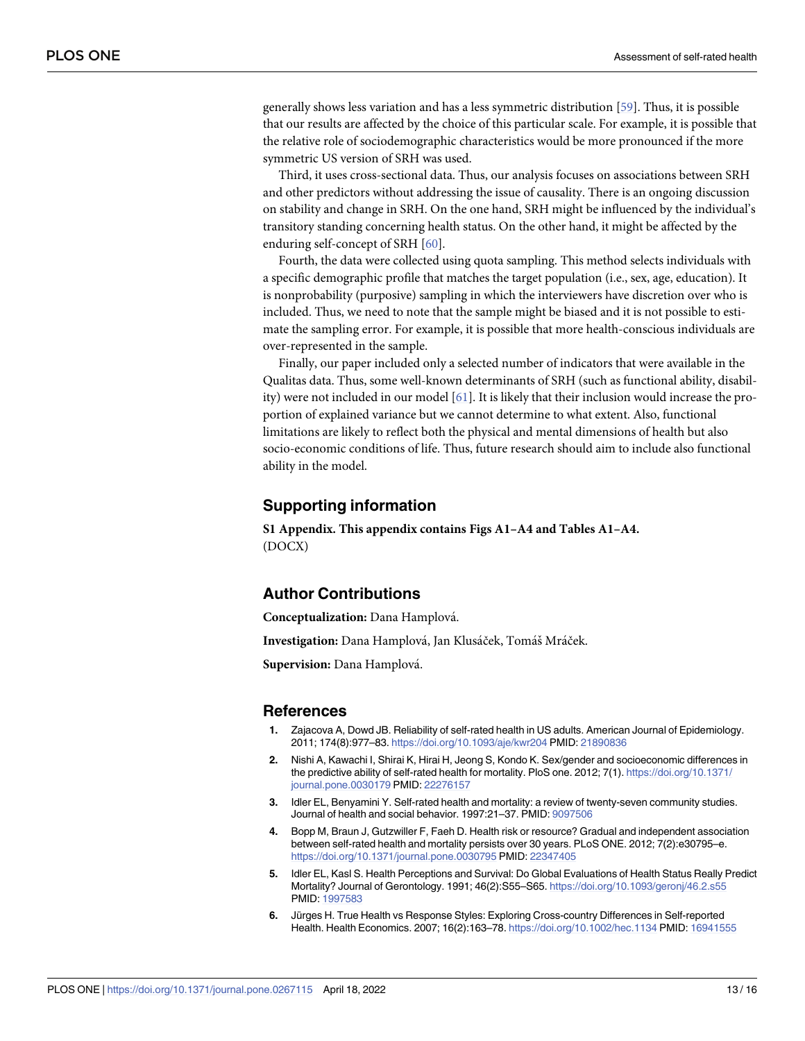<span id="page-12-0"></span>generally shows less variation and has a less symmetric distribution [\[59\]](#page-15-0). Thus, it is possible that our results are affected by the choice of this particular scale. For example, it is possible that the relative role of sociodemographic characteristics would be more pronounced if the more symmetric US version of SRH was used.

Third, it uses cross-sectional data. Thus, our analysis focuses on associations between SRH and other predictors without addressing the issue of causality. There is an ongoing discussion on stability and change in SRH. On the one hand, SRH might be influenced by the individual's transitory standing concerning health status. On the other hand, it might be affected by the enduring self-concept of SRH [[60](#page-15-0)].

Fourth, the data were collected using quota sampling. This method selects individuals with a specific demographic profile that matches the target population (i.e., sex, age, education). It is nonprobability (purposive) sampling in which the interviewers have discretion over who is included. Thus, we need to note that the sample might be biased and it is not possible to estimate the sampling error. For example, it is possible that more health-conscious individuals are over-represented in the sample.

Finally, our paper included only a selected number of indicators that were available in the Qualitas data. Thus, some well-known determinants of SRH (such as functional ability, disability) were not included in our model [[61](#page-15-0)]. It is likely that their inclusion would increase the proportion of explained variance but we cannot determine to what extent. Also, functional limitations are likely to reflect both the physical and mental dimensions of health but also socio-economic conditions of life. Thus, future research should aim to include also functional ability in the model.

#### **Supporting information**

**S1 [Appendix](http://www.plosone.org/article/fetchSingleRepresentation.action?uri=info:doi/10.1371/journal.pone.0267115.s001). This appendix contains Figs A1–A4 and Tables A1–A4.** (DOCX)

## **Author Contributions**

**Conceptualization:** Dana Hamplova´.

Investigation: Dana Hamplová, Jan Klusáček, Tomáš Mráček.

**Supervision:** Dana Hamplova´.

#### **References**

- **[1](#page-1-0).** Zajacova A, Dowd JB. Reliability of self-rated health in US adults. American Journal of Epidemiology. 2011; 174(8):977–83. <https://doi.org/10.1093/aje/kwr204> PMID: [21890836](http://www.ncbi.nlm.nih.gov/pubmed/21890836)
- **[2](#page-1-0).** Nishi A, Kawachi I, Shirai K, Hirai H, Jeong S, Kondo K. Sex/gender and socioeconomic differences in the predictive ability of self-rated health for mortality. PloS one. 2012; 7(1). [https://doi.org/10.1371/](https://doi.org/10.1371/journal.pone.0030179) [journal.pone.0030179](https://doi.org/10.1371/journal.pone.0030179) PMID: [22276157](http://www.ncbi.nlm.nih.gov/pubmed/22276157)
- **[3](#page-1-0).** Idler EL, Benyamini Y. Self-rated health and mortality: a review of twenty-seven community studies. Journal of health and social behavior. 1997:21–37. PMID: [9097506](http://www.ncbi.nlm.nih.gov/pubmed/9097506)
- **[4](#page-1-0).** Bopp M, Braun J, Gutzwiller F, Faeh D. Health risk or resource? Gradual and independent association between self-rated health and mortality persists over 30 years. PLoS ONE. 2012; 7(2):e30795–e. <https://doi.org/10.1371/journal.pone.0030795> PMID: [22347405](http://www.ncbi.nlm.nih.gov/pubmed/22347405)
- **[5](#page-1-0).** Idler EL, Kasl S. Health Perceptions and Survival: Do Global Evaluations of Health Status Really Predict Mortality? Journal of Gerontology. 1991; 46(2):S55–S65. <https://doi.org/10.1093/geronj/46.2.s55> PMID: [1997583](http://www.ncbi.nlm.nih.gov/pubmed/1997583)
- **[6](#page-1-0).** Jürges H. True Health vs Response Styles: Exploring Cross-country Differences in Self-reported Health. Health Economics. 2007; 16(2):163–78. <https://doi.org/10.1002/hec.1134> PMID: [16941555](http://www.ncbi.nlm.nih.gov/pubmed/16941555)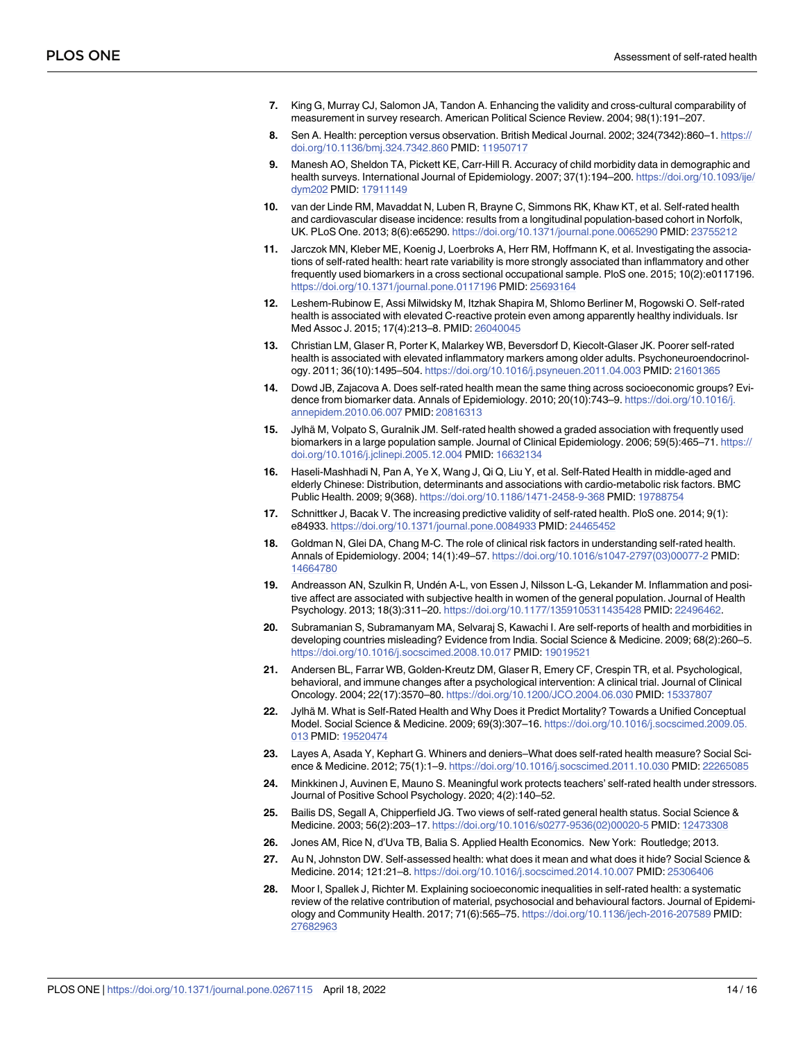- <span id="page-13-0"></span>**[7](#page-1-0).** King G, Murray CJ, Salomon JA, Tandon A. Enhancing the validity and cross-cultural comparability of measurement in survey research. American Political Science Review. 2004; 98(1):191–207.
- **8.** Sen A. Health: perception versus observation. British Medical Journal. 2002; 324(7342):860–1. [https://](https://doi.org/10.1136/bmj.324.7342.860) [doi.org/10.1136/bmj.324.7342.860](https://doi.org/10.1136/bmj.324.7342.860) PMID: [11950717](http://www.ncbi.nlm.nih.gov/pubmed/11950717)
- **[9](#page-1-0).** Manesh AO, Sheldon TA, Pickett KE, Carr-Hill R. Accuracy of child morbidity data in demographic and health surveys. International Journal of Epidemiology. 2007; 37(1):194–200. [https://doi.org/10.1093/ije/](https://doi.org/10.1093/ije/dym202) [dym202](https://doi.org/10.1093/ije/dym202) PMID: [17911149](http://www.ncbi.nlm.nih.gov/pubmed/17911149)
- **[10](#page-1-0).** van der Linde RM, Mavaddat N, Luben R, Brayne C, Simmons RK, Khaw KT, et al. Self-rated health and cardiovascular disease incidence: results from a longitudinal population-based cohort in Norfolk, UK. PLoS One. 2013; 8(6):e65290. <https://doi.org/10.1371/journal.pone.0065290> PMID: [23755212](http://www.ncbi.nlm.nih.gov/pubmed/23755212)
- **[11](#page-11-0).** Jarczok MN, Kleber ME, Koenig J, Loerbroks A, Herr RM, Hoffmann K, et al. Investigating the associations of self-rated health: heart rate variability is more strongly associated than inflammatory and other frequently used biomarkers in a cross sectional occupational sample. PloS one. 2015; 10(2):e0117196. <https://doi.org/10.1371/journal.pone.0117196> PMID: [25693164](http://www.ncbi.nlm.nih.gov/pubmed/25693164)
- **12.** Leshem-Rubinow E, Assi Milwidsky M, Itzhak Shapira M, Shlomo Berliner M, Rogowski O. Self-rated health is associated with elevated C-reactive protein even among apparently healthy individuals. Isr Med Assoc J. 2015; 17(4):213–8. PMID: [26040045](http://www.ncbi.nlm.nih.gov/pubmed/26040045)
- **13.** Christian LM, Glaser R, Porter K, Malarkey WB, Beversdorf D, Kiecolt-Glaser JK. Poorer self-rated health is associated with elevated inflammatory markers among older adults. Psychoneuroendocrinology. 2011; 36(10):1495–504. <https://doi.org/10.1016/j.psyneuen.2011.04.003> PMID: [21601365](http://www.ncbi.nlm.nih.gov/pubmed/21601365)
- **[14](#page-1-0).** Dowd JB, Zajacova A. Does self-rated health mean the same thing across socioeconomic groups? Evidence from biomarker data. Annals of Epidemiology. 2010; 20(10):743–9. [https://doi.org/10.1016/j.](https://doi.org/10.1016/j.annepidem.2010.06.007) [annepidem.2010.06.007](https://doi.org/10.1016/j.annepidem.2010.06.007) PMID: [20816313](http://www.ncbi.nlm.nih.gov/pubmed/20816313)
- **[15](#page-11-0).** Jylhä M, Volpato S, Guralnik JM. Self-rated health showed a graded association with frequently used biomarkers in a large population sample. Journal of Clinical Epidemiology. 2006; 59(5):465-71. [https://](https://doi.org/10.1016/j.jclinepi.2005.12.004) [doi.org/10.1016/j.jclinepi.2005.12.004](https://doi.org/10.1016/j.jclinepi.2005.12.004) PMID: [16632134](http://www.ncbi.nlm.nih.gov/pubmed/16632134)
- **[16](#page-1-0).** Haseli-Mashhadi N, Pan A, Ye X, Wang J, Qi Q, Liu Y, et al. Self-Rated Health in middle-aged and elderly Chinese: Distribution, determinants and associations with cardio-metabolic risk factors. BMC Public Health. 2009; 9(368). <https://doi.org/10.1186/1471-2458-9-368> PMID: [19788754](http://www.ncbi.nlm.nih.gov/pubmed/19788754)
- **17.** Schnittker J, Bacak V. The increasing predictive validity of self-rated health. PloS one. 2014; 9(1): e84933. <https://doi.org/10.1371/journal.pone.0084933> PMID: [24465452](http://www.ncbi.nlm.nih.gov/pubmed/24465452)
- **18.** Goldman N, Glei DA, Chang M-C. The role of clinical risk factors in understanding self-rated health. Annals of Epidemiology. 2004; 14(1):49–57. [https://doi.org/10.1016/s1047-2797\(03\)00077-2](https://doi.org/10.1016/s1047-2797%2803%2900077-2) PMID: [14664780](http://www.ncbi.nlm.nih.gov/pubmed/14664780)
- **[19](#page-1-0).** Andreasson AN, Szulkin R, Undén A-L, von Essen J, Nilsson L-G, Lekander M. Inflammation and positive affect are associated with subjective health in women of the general population. Journal of Health Psychology. 2013; 18(3):311–20. <https://doi.org/10.1177/1359105311435428> PMID: [22496462](http://www.ncbi.nlm.nih.gov/pubmed/22496462).
- **[20](#page-1-0).** Subramanian S, Subramanyam MA, Selvaraj S, Kawachi I. Are self-reports of health and morbidities in developing countries misleading? Evidence from India. Social Science & Medicine. 2009; 68(2):260–5. <https://doi.org/10.1016/j.socscimed.2008.10.017> PMID: [19019521](http://www.ncbi.nlm.nih.gov/pubmed/19019521)
- **[21](#page-1-0).** Andersen BL, Farrar WB, Golden-Kreutz DM, Glaser R, Emery CF, Crespin TR, et al. Psychological, behavioral, and immune changes after a psychological intervention: A clinical trial. Journal of Clinical Oncology. 2004; 22(17):3570–80. <https://doi.org/10.1200/JCO.2004.06.030> PMID: [15337807](http://www.ncbi.nlm.nih.gov/pubmed/15337807)
- **[22](#page-1-0).** Jylhä M. What is Self-Rated Health and Why Does it Predict Mortality? Towards a Unified Conceptual Model. Social Science & Medicine. 2009; 69(3):307–16. [https://doi.org/10.1016/j.socscimed.2009.05.](https://doi.org/10.1016/j.socscimed.2009.05.013) [013](https://doi.org/10.1016/j.socscimed.2009.05.013) PMID: [19520474](http://www.ncbi.nlm.nih.gov/pubmed/19520474)
- **23.** Layes A, Asada Y, Kephart G. Whiners and deniers–What does self-rated health measure? Social Science & Medicine. 2012; 75(1):1–9. <https://doi.org/10.1016/j.socscimed.2011.10.030> PMID: [22265085](http://www.ncbi.nlm.nih.gov/pubmed/22265085)
- **24.** Minkkinen J, Auvinen E, Mauno S. Meaningful work protects teachers' self-rated health under stressors. Journal of Positive School Psychology. 2020; 4(2):140–52.
- **[25](#page-1-0).** Bailis DS, Segall A, Chipperfield JG. Two views of self-rated general health status. Social Science & Medicine. 2003; 56(2):203–17. [https://doi.org/10.1016/s0277-9536\(02\)00020-5](https://doi.org/10.1016/s0277-9536%2802%2900020-5) PMID: [12473308](http://www.ncbi.nlm.nih.gov/pubmed/12473308)
- **[26](#page-1-0).** Jones AM, Rice N, d'Uva TB, Balia S. Applied Health Economics. New York: Routledge; 2013.
- **[27](#page-1-0).** Au N, Johnston DW. Self-assessed health: what does it mean and what does it hide? Social Science & Medicine. 2014; 121:21–8. <https://doi.org/10.1016/j.socscimed.2014.10.007> PMID: [25306406](http://www.ncbi.nlm.nih.gov/pubmed/25306406)
- **28.** Moor I, Spallek J, Richter M. Explaining socioeconomic inequalities in self-rated health: a systematic review of the relative contribution of material, psychosocial and behavioural factors. Journal of Epidemiology and Community Health. 2017; 71(6):565–75. <https://doi.org/10.1136/jech-2016-207589> PMID: [27682963](http://www.ncbi.nlm.nih.gov/pubmed/27682963)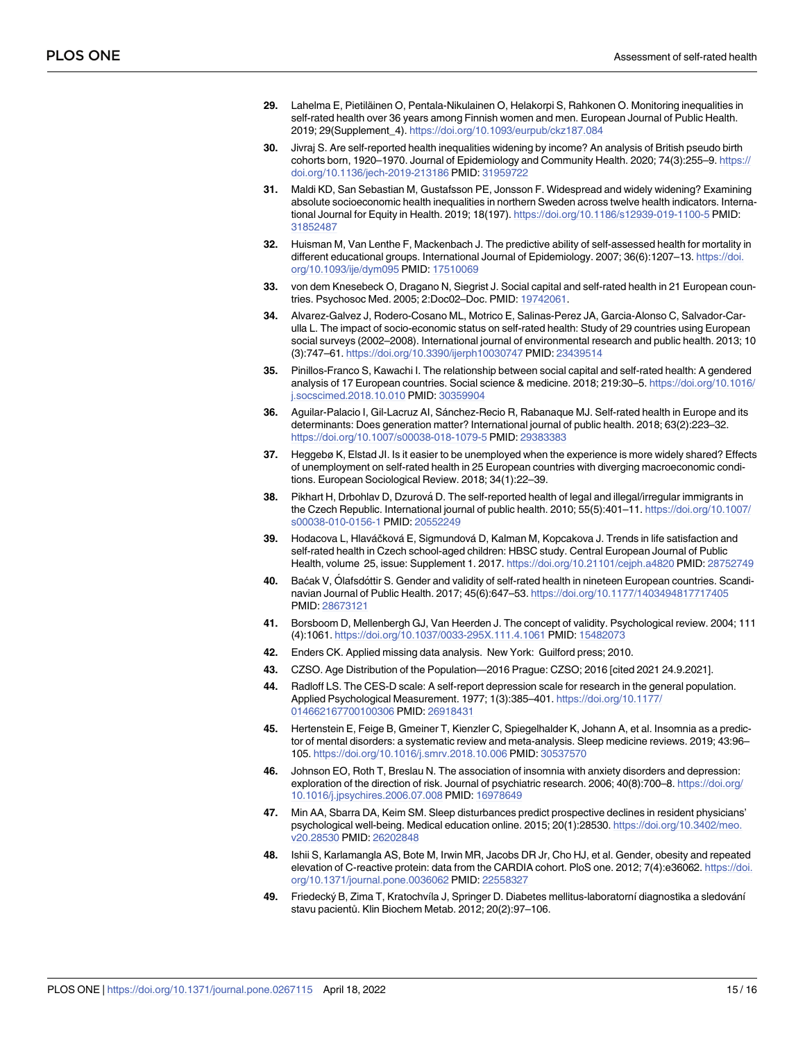- <span id="page-14-0"></span>29. Lahelma E, Pietiläinen O, Pentala-Nikulainen O, Helakorpi S, Rahkonen O. Monitoring inequalities in self-rated health over 36 years among Finnish women and men. European Journal of Public Health. 2019; 29(Supplement\_4). <https://doi.org/10.1093/eurpub/ckz187.084>
- **30.** Jivraj S. Are self-reported health inequalities widening by income? An analysis of British pseudo birth cohorts born, 1920–1970. Journal of Epidemiology and Community Health. 2020; 74(3):255–9. [https://](https://doi.org/10.1136/jech-2019-213186) [doi.org/10.1136/jech-2019-213186](https://doi.org/10.1136/jech-2019-213186) PMID: [31959722](http://www.ncbi.nlm.nih.gov/pubmed/31959722)
- **[31](#page-1-0).** Maldi KD, San Sebastian M, Gustafsson PE, Jonsson F. Widespread and widely widening? Examining absolute socioeconomic health inequalities in northern Sweden across twelve health indicators. International Journal for Equity in Health. 2019; 18(197). <https://doi.org/10.1186/s12939-019-1100-5> PMID: [31852487](http://www.ncbi.nlm.nih.gov/pubmed/31852487)
- **[32](#page-1-0).** Huisman M, Van Lenthe F, Mackenbach J. The predictive ability of self-assessed health for mortality in different educational groups. International Journal of Epidemiology. 2007; 36(6):1207–13. [https://doi.](https://doi.org/10.1093/ije/dym095) [org/10.1093/ije/dym095](https://doi.org/10.1093/ije/dym095) PMID: [17510069](http://www.ncbi.nlm.nih.gov/pubmed/17510069)
- **[33](#page-1-0).** von dem Knesebeck O, Dragano N, Siegrist J. Social capital and self-rated health in 21 European countries. Psychosoc Med. 2005; 2:Doc02–Doc. PMID: [19742061](http://www.ncbi.nlm.nih.gov/pubmed/19742061).
- **34.** Alvarez-Galvez J, Rodero-Cosano ML, Motrico E, Salinas-Perez JA, Garcia-Alonso C, Salvador-Carulla L. The impact of socio-economic status on self-rated health: Study of 29 countries using European social surveys (2002–2008). International journal of environmental research and public health. 2013; 10 (3):747–61. <https://doi.org/10.3390/ijerph10030747> PMID: [23439514](http://www.ncbi.nlm.nih.gov/pubmed/23439514)
- **35.** Pinillos-Franco S, Kawachi I. The relationship between social capital and self-rated health: A gendered analysis of 17 European countries. Social science & medicine. 2018; 219:30–5. [https://doi.org/10.1016/](https://doi.org/10.1016/j.socscimed.2018.10.010) [j.socscimed.2018.10.010](https://doi.org/10.1016/j.socscimed.2018.10.010) PMID: [30359904](http://www.ncbi.nlm.nih.gov/pubmed/30359904)
- **36.** Aguilar-Palacio I, Gil-Lacruz AI, Sánchez-Recio R, Rabanaque MJ. Self-rated health in Europe and its determinants: Does generation matter? International journal of public health. 2018; 63(2):223–32. <https://doi.org/10.1007/s00038-018-1079-5> PMID: [29383383](http://www.ncbi.nlm.nih.gov/pubmed/29383383)
- **[37](#page-1-0).** Heggebø K, Elstad JI. Is it easier to be unemployed when the experience is more widely shared? Effects of unemployment on self-rated health in 25 European countries with diverging macroeconomic conditions. European Sociological Review. 2018; 34(1):22–39.
- **[38](#page-1-0).** Pikhart H, Drbohlav D, Dzurová D. The self-reported health of legal and illegal/irregular immigrants in the Czech Republic. International journal of public health. 2010; 55(5):401–11. [https://doi.org/10.1007/](https://doi.org/10.1007/s00038-010-0156-1) [s00038-010-0156-1](https://doi.org/10.1007/s00038-010-0156-1) PMID: [20552249](http://www.ncbi.nlm.nih.gov/pubmed/20552249)
- **[39](#page-1-0).** Hodacova L, Hlaváčková E, Sigmundová D, Kalman M, Kopcakova J. Trends in life satisfaction and self-rated health in Czech school-aged children: HBSC study. Central European Journal of Public Health, volume 25, issue: Supplement 1. 2017. <https://doi.org/10.21101/cejph.a4820> PMID: [28752749](http://www.ncbi.nlm.nih.gov/pubmed/28752749)
- **[40](#page-1-0).** Baćak V, Ólafsdóttir S. Gender and validity of self-rated health in nineteen European countries. Scandinavian Journal of Public Health. 2017; 45(6):647–53. <https://doi.org/10.1177/1403494817717405> PMID: [28673121](http://www.ncbi.nlm.nih.gov/pubmed/28673121)
- **[41](#page-11-0).** Borsboom D, Mellenbergh GJ, Van Heerden J. The concept of validity. Psychological review. 2004; 111 (4):1061. <https://doi.org/10.1037/0033-295X.111.4.1061> PMID: [15482073](http://www.ncbi.nlm.nih.gov/pubmed/15482073)
- **[42](#page-2-0).** Enders CK. Applied missing data analysis. New York: Guilford press; 2010.
- **[43](#page-3-0).** CZSO. Age Distribution of the Population—2016 Prague: CZSO; 2016 [cited 2021 24.9.2021].
- **[44](#page-4-0).** Radloff LS. The CES-D scale: A self-report depression scale for research in the general population. Applied Psychological Measurement. 1977; 1(3):385–401. [https://doi.org/10.1177/](https://doi.org/10.1177/014662167700100306) [014662167700100306](https://doi.org/10.1177/014662167700100306) PMID: [26918431](http://www.ncbi.nlm.nih.gov/pubmed/26918431)
- **[45](#page-4-0).** Hertenstein E, Feige B, Gmeiner T, Kienzler C, Spiegelhalder K, Johann A, et al. Insomnia as a predictor of mental disorders: a systematic review and meta-analysis. Sleep medicine reviews. 2019; 43:96– 105. <https://doi.org/10.1016/j.smrv.2018.10.006> PMID: [30537570](http://www.ncbi.nlm.nih.gov/pubmed/30537570)
- **46.** Johnson EO, Roth T, Breslau N. The association of insomnia with anxiety disorders and depression: exploration of the direction of risk. Journal of psychiatric research. 2006; 40(8):700–8. [https://doi.org/](https://doi.org/10.1016/j.jpsychires.2006.07.008) [10.1016/j.jpsychires.2006.07.008](https://doi.org/10.1016/j.jpsychires.2006.07.008) PMID: [16978649](http://www.ncbi.nlm.nih.gov/pubmed/16978649)
- **[47](#page-4-0).** Min AA, Sbarra DA, Keim SM. Sleep disturbances predict prospective declines in resident physicians' psychological well-being. Medical education online. 2015; 20(1):28530. [https://doi.org/10.3402/meo.](https://doi.org/10.3402/meo.v20.28530) [v20.28530](https://doi.org/10.3402/meo.v20.28530) PMID: [26202848](http://www.ncbi.nlm.nih.gov/pubmed/26202848)
- **[48](#page-5-0).** Ishii S, Karlamangla AS, Bote M, Irwin MR, Jacobs DR Jr, Cho HJ, et al. Gender, obesity and repeated elevation of C-reactive protein: data from the CARDIA cohort. PloS one. 2012; 7(4):e36062. [https://doi.](https://doi.org/10.1371/journal.pone.0036062) [org/10.1371/journal.pone.0036062](https://doi.org/10.1371/journal.pone.0036062) PMID: [22558327](http://www.ncbi.nlm.nih.gov/pubmed/22558327)
- **[49](#page-6-0).** Friedecký B, Zima T, Kratochvíla J, Springer D. Diabetes mellitus-laboratorní diagnostika a sledování stavu pacientů. Klin Biochem Metab. 2012; 20(2):97–106.